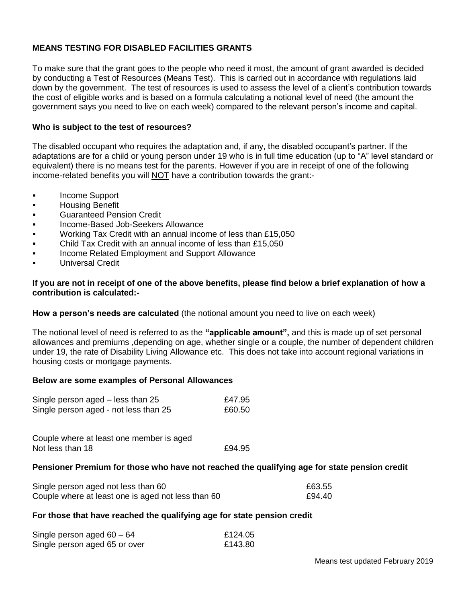# **MEANS TESTING FOR DISABLED FACILITIES GRANTS**

To make sure that the grant goes to the people who need it most, the amount of grant awarded is decided by conducting a Test of Resources (Means Test). This is carried out in accordance with regulations laid down by the government. The test of resources is used to assess the level of a client's contribution towards the cost of eligible works and is based on a formula calculating a notional level of need (the amount the government says you need to live on each week) compared to the relevant person's income and capital.

# **Who is subject to the test of resources?**

The disabled occupant who requires the adaptation and, if any, the disabled occupant's partner. If the adaptations are for a child or young person under 19 who is in full time education (up to "A" level standard or equivalent) there is no means test for the parents. However if you are in receipt of one of the following income-related benefits you will NOT have a contribution towards the grant:-

- **Income Support**
- **Housing Benefit**
- **Example Contract Contract Credit**
- **Income-Based Job-Seekers Allowance**
- **Working Tax Credit with an annual income of less than £15,050**
- Child Tax Credit with an annual income of less than £15,050
- Income Related Employment and Support Allowance
- Universal Credit

# **If you are not in receipt of one of the above benefits, please find below a brief explanation of how a contribution is calculated:-**

### **How a person's needs are calculated** (the notional amount you need to live on each week)

The notional level of need is referred to as the **"applicable amount",** and this is made up of set personal allowances and premiums ,depending on age, whether single or a couple, the number of dependent children under 19, the rate of Disability Living Allowance etc. This does not take into account regional variations in housing costs or mortgage payments.

#### **Below are some examples of Personal Allowances**

| Single person aged – less than 25     | £47.95 |
|---------------------------------------|--------|
| Single person aged - not less than 25 | £60.50 |

Couple where at least one member is aged Not less than 18 **E94.95** 

### **Pensioner Premium for those who have not reached the qualifying age for state pension credit**

| Single person aged not less than 60                | £63.55 |
|----------------------------------------------------|--------|
| Couple where at least one is aged not less than 60 | £94.40 |

#### **For those that have reached the qualifying age for state pension credit**

| Single person aged $60 - 64$  | £124.05 |
|-------------------------------|---------|
| Single person aged 65 or over | £143.80 |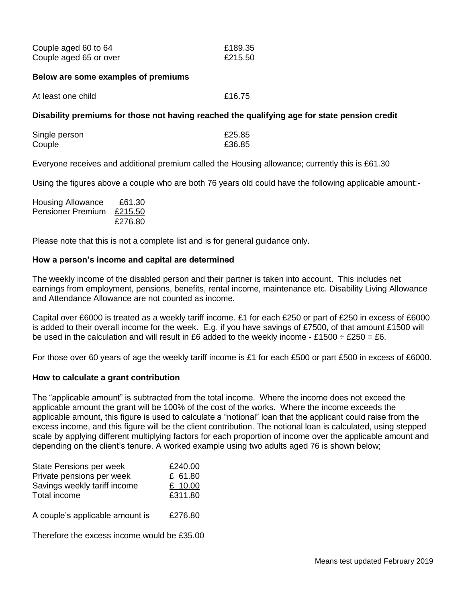| Couple aged 60 to 64   | £189.35 |
|------------------------|---------|
| Couple aged 65 or over | £215.50 |

### **Below are some examples of premiums**

| At least one child | £16.75 |
|--------------------|--------|
|--------------------|--------|

# **Disability premiums for those not having reached the qualifying age for state pension credit**

| Single person | £25.85 |
|---------------|--------|
| Couple        | £36.85 |

Everyone receives and additional premium called the Housing allowance; currently this is £61.30

Using the figures above a couple who are both 76 years old could have the following applicable amount:-

| <b>Housing Allowance</b> | £61.30  |
|--------------------------|---------|
| <b>Pensioner Premium</b> | £215.50 |
|                          | £276.80 |

Please note that this is not a complete list and is for general guidance only.

# **How a person's income and capital are determined**

The weekly income of the disabled person and their partner is taken into account. This includes net earnings from employment, pensions, benefits, rental income, maintenance etc. Disability Living Allowance and Attendance Allowance are not counted as income.

Capital over £6000 is treated as a weekly tariff income. £1 for each £250 or part of £250 in excess of £6000 is added to their overall income for the week. E.g. if you have savings of £7500, of that amount £1500 will be used in the calculation and will result in £6 added to the weekly income - £1500  $\div$  £250 = £6.

For those over 60 years of age the weekly tariff income is £1 for each £500 or part £500 in excess of £6000.

# **How to calculate a grant contribution**

The "applicable amount" is subtracted from the total income. Where the income does not exceed the applicable amount the grant will be 100% of the cost of the works. Where the income exceeds the applicable amount, this figure is used to calculate a "notional" loan that the applicant could raise from the excess income, and this figure will be the client contribution. The notional loan is calculated, using stepped scale by applying different multiplying factors for each proportion of income over the applicable amount and depending on the client's tenure. A worked example using two adults aged 76 is shown below;

| State Pensions per week         | £240.00 |
|---------------------------------|---------|
| Private pensions per week       | £ 61.80 |
| Savings weekly tariff income    | £ 10.00 |
| Total income                    | £311.80 |
|                                 |         |
| A couple's applicable amount is | £276.80 |
|                                 |         |

Therefore the excess income would be £35.00